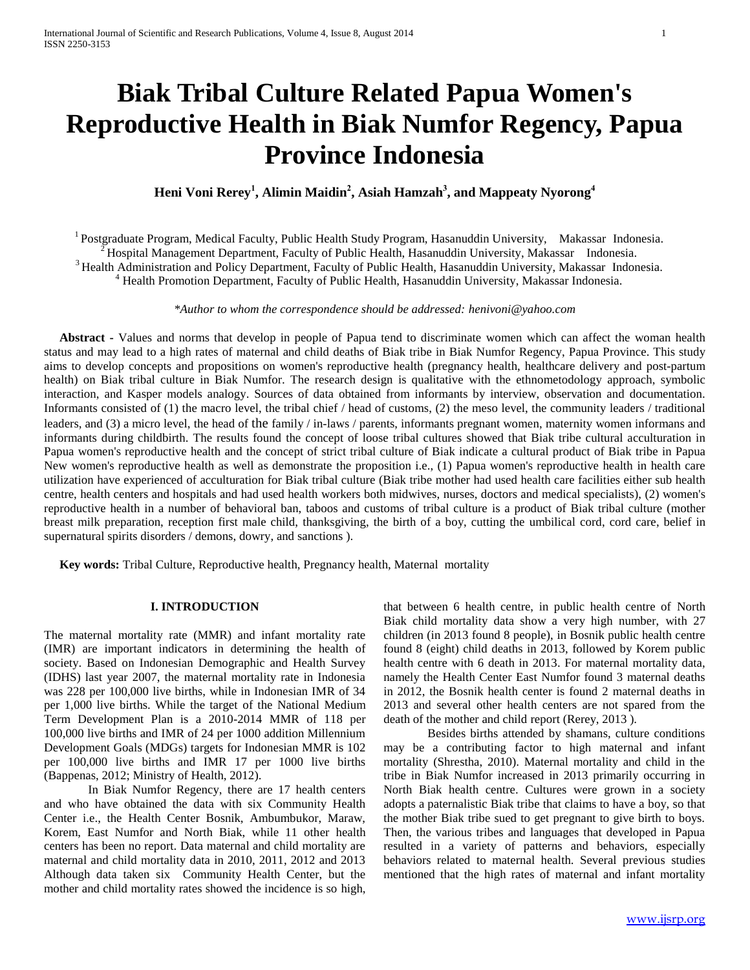# **Biak Tribal Culture Related Papua Women's Reproductive Health in Biak Numfor Regency, Papua Province Indonesia**

## **Heni Voni Rerey<sup>1</sup> , Alimin Maidin<sup>2</sup> , Asiah Hamzah<sup>3</sup> , and Mappeaty Nyorong<sup>4</sup>**

<sup>1</sup> Postgraduate Program, Medical Faculty, Public Health Study Program, Hasanuddin University, Makassar Indonesia. <sup>2</sup> Hospital Management Department, Faculty of Public Health, Hasanuddin University, Makassar Indonesia. <sup>3</sup> Health Administration and Policy Department, Faculty of Public Health, Hasanuddin University, Makassar Indonesia. <sup>4</sup> Health Promotion Department, Faculty of Public Health, Hasanuddin University, Makassar Indonesia.

*\*Author to whom the correspondence should be addressed: henivoni@yahoo.com*

 **Abstract -** Values and norms that develop in people of Papua tend to discriminate women which can affect the woman health status and may lead to a high rates of maternal and child deaths of Biak tribe in Biak Numfor Regency, Papua Province. This study aims to develop concepts and propositions on women's reproductive health (pregnancy health, healthcare delivery and post-partum health) on Biak tribal culture in Biak Numfor. The research design is qualitative with the ethnometodology approach, symbolic interaction, and Kasper models analogy. Sources of data obtained from informants by interview, observation and documentation. Informants consisted of (1) the macro level, the tribal chief / head of customs, (2) the meso level, the community leaders / traditional leaders, and (3) a micro level, the head of the family / in-laws / parents, informants pregnant women, maternity women informans and informants during childbirth. The results found the concept of loose tribal cultures showed that Biak tribe cultural acculturation in Papua women's reproductive health and the concept of strict tribal culture of Biak indicate a cultural product of Biak tribe in Papua New women's reproductive health as well as demonstrate the proposition i.e., (1) Papua women's reproductive health in health care utilization have experienced of acculturation for Biak tribal culture (Biak tribe mother had used health care facilities either sub health centre, health centers and hospitals and had used health workers both midwives, nurses, doctors and medical specialists), (2) women's reproductive health in a number of behavioral ban, taboos and customs of tribal culture is a product of Biak tribal culture (mother breast milk preparation, reception first male child, thanksgiving, the birth of a boy, cutting the umbilical cord, cord care, belief in supernatural spirits disorders / demons, dowry, and sanctions ).

 **Key words:** Tribal Culture, Reproductive health, Pregnancy health, Maternal mortality

## **I. INTRODUCTION**

The maternal mortality rate (MMR) and infant mortality rate (IMR) are important indicators in determining the health of society. Based on Indonesian Demographic and Health Survey (IDHS) last year 2007, the maternal mortality rate in Indonesia was 228 per 100,000 live births, while in Indonesian IMR of 34 per 1,000 live births. While the target of the National Medium Term Development Plan is a 2010-2014 MMR of 118 per 100,000 live births and IMR of 24 per 1000 addition Millennium Development Goals (MDGs) targets for Indonesian MMR is 102 per 100,000 live births and IMR 17 per 1000 live births (Bappenas, 2012; Ministry of Health, 2012).

In Biak Numfor Regency, there are 17 health centers and who have obtained the data with six Community Health Center i.e., the Health Center Bosnik, Ambumbukor, Maraw, Korem, East Numfor and North Biak, while 11 other health centers has been no report. Data maternal and child mortality are maternal and child mortality data in 2010, 2011, 2012 and 2013 Although data taken six Community Health Center, but the mother and child mortality rates showed the incidence is so high,

that between 6 health centre, in public health centre of North Biak child mortality data show a very high number, with 27 children (in 2013 found 8 people), in Bosnik public health centre found 8 (eight) child deaths in 2013, followed by Korem public health centre with 6 death in 2013. For maternal mortality data, namely the Health Center East Numfor found 3 maternal deaths in 2012, the Bosnik health center is found 2 maternal deaths in 2013 and several other health centers are not spared from the death of the mother and child report (Rerey, 2013 ).

Besides births attended by shamans, culture conditions may be a contributing factor to high maternal and infant mortality (Shrestha, 2010). Maternal mortality and child in the tribe in Biak Numfor increased in 2013 primarily occurring in North Biak health centre. Cultures were grown in a society adopts a paternalistic Biak tribe that claims to have a boy, so that the mother Biak tribe sued to get pregnant to give birth to boys. Then, the various tribes and languages that developed in Papua resulted in a variety of patterns and behaviors, especially behaviors related to maternal health. Several previous studies mentioned that the high rates of maternal and infant mortality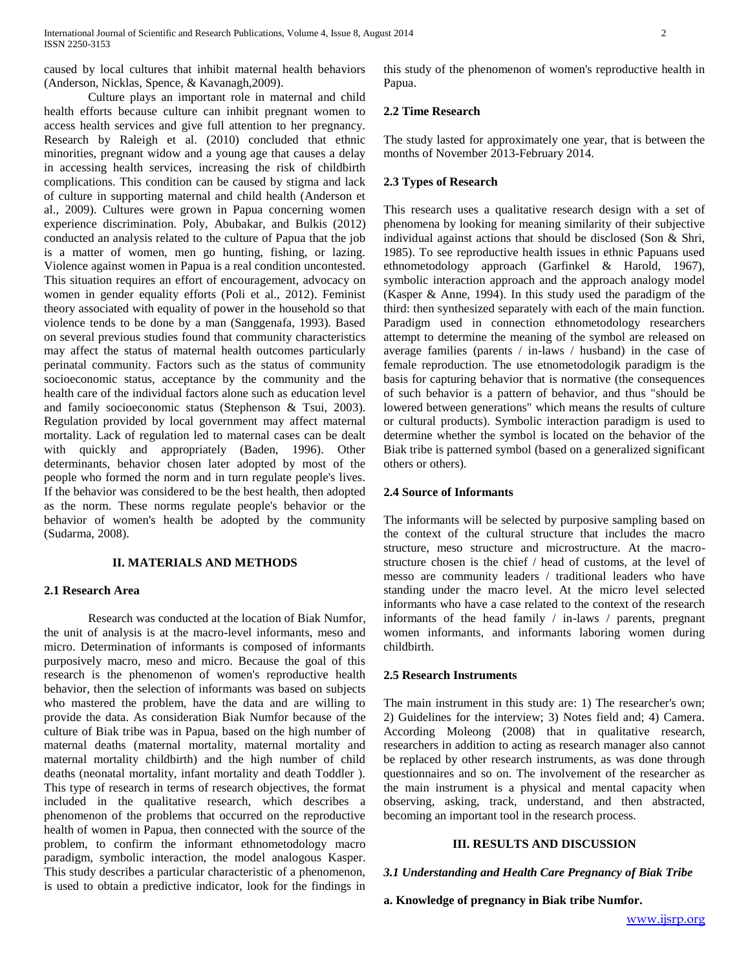caused by local cultures that inhibit maternal health behaviors (Anderson, Nicklas, Spence, & Kavanagh,2009).

Culture plays an important role in maternal and child health efforts because culture can inhibit pregnant women to access health services and give full attention to her pregnancy. Research by Raleigh et al. (2010) concluded that ethnic minorities, pregnant widow and a young age that causes a delay in accessing health services, increasing the risk of childbirth complications. This condition can be caused by stigma and lack of culture in supporting maternal and child health (Anderson et al., 2009). Cultures were grown in Papua concerning women experience discrimination. Poly, Abubakar, and Bulkis (2012) conducted an analysis related to the culture of Papua that the job is a matter of women, men go hunting, fishing, or lazing. Violence against women in Papua is a real condition uncontested. This situation requires an effort of encouragement, advocacy on women in gender equality efforts (Poli et al., 2012). Feminist theory associated with equality of power in the household so that violence tends to be done by a man (Sanggenafa, 1993). Based on several previous studies found that community characteristics may affect the status of maternal health outcomes particularly perinatal community. Factors such as the status of community socioeconomic status, acceptance by the community and the health care of the individual factors alone such as education level and family socioeconomic status (Stephenson & Tsui, 2003). Regulation provided by local government may affect maternal mortality. Lack of regulation led to maternal cases can be dealt with quickly and appropriately (Baden, 1996). Other determinants, behavior chosen later adopted by most of the people who formed the norm and in turn regulate people's lives. If the behavior was considered to be the best health, then adopted as the norm. These norms regulate people's behavior or the behavior of women's health be adopted by the community (Sudarma, 2008).

#### **II. MATERIALS AND METHODS**

#### **2.1 Research Area**

Research was conducted at the location of Biak Numfor, the unit of analysis is at the macro-level informants, meso and micro. Determination of informants is composed of informants purposively macro, meso and micro. Because the goal of this research is the phenomenon of women's reproductive health behavior, then the selection of informants was based on subjects who mastered the problem, have the data and are willing to provide the data. As consideration Biak Numfor because of the culture of Biak tribe was in Papua, based on the high number of maternal deaths (maternal mortality, maternal mortality and maternal mortality childbirth) and the high number of child deaths (neonatal mortality, infant mortality and death Toddler ). This type of research in terms of research objectives, the format included in the qualitative research, which describes a phenomenon of the problems that occurred on the reproductive health of women in Papua, then connected with the source of the problem, to confirm the informant ethnometodology macro paradigm, symbolic interaction, the model analogous Kasper. This study describes a particular characteristic of a phenomenon, is used to obtain a predictive indicator, look for the findings in this study of the phenomenon of women's reproductive health in Papua.

#### **2.2 Time Research**

The study lasted for approximately one year, that is between the months of November 2013-February 2014.

#### **2.3 Types of Research**

This research uses a qualitative research design with a set of phenomena by looking for meaning similarity of their subjective individual against actions that should be disclosed (Son & Shri, 1985). To see reproductive health issues in ethnic Papuans used ethnometodology approach (Garfinkel & Harold, 1967), symbolic interaction approach and the approach analogy model (Kasper & Anne, 1994). In this study used the paradigm of the third: then synthesized separately with each of the main function. Paradigm used in connection ethnometodology researchers attempt to determine the meaning of the symbol are released on average families (parents / in-laws / husband) in the case of female reproduction. The use etnometodologik paradigm is the basis for capturing behavior that is normative (the consequences of such behavior is a pattern of behavior, and thus "should be lowered between generations" which means the results of culture or cultural products). Symbolic interaction paradigm is used to determine whether the symbol is located on the behavior of the Biak tribe is patterned symbol (based on a generalized significant others or others).

## **2.4 Source of Informants**

The informants will be selected by purposive sampling based on the context of the cultural structure that includes the macro structure, meso structure and microstructure. At the macrostructure chosen is the chief / head of customs, at the level of messo are community leaders / traditional leaders who have standing under the macro level. At the micro level selected informants who have a case related to the context of the research informants of the head family / in-laws / parents, pregnant women informants, and informants laboring women during childbirth.

#### **2.5 Research Instruments**

The main instrument in this study are: 1) The researcher's own; 2) Guidelines for the interview; 3) Notes field and; 4) Camera. According Moleong (2008) that in qualitative research, researchers in addition to acting as research manager also cannot be replaced by other research instruments, as was done through questionnaires and so on. The involvement of the researcher as the main instrument is a physical and mental capacity when observing, asking, track, understand, and then abstracted, becoming an important tool in the research process.

#### **III. RESULTS AND DISCUSSION**

#### *3.1 Understanding and Health Care Pregnancy of Biak Tribe*

**a. Knowledge of pregnancy in Biak tribe Numfor.**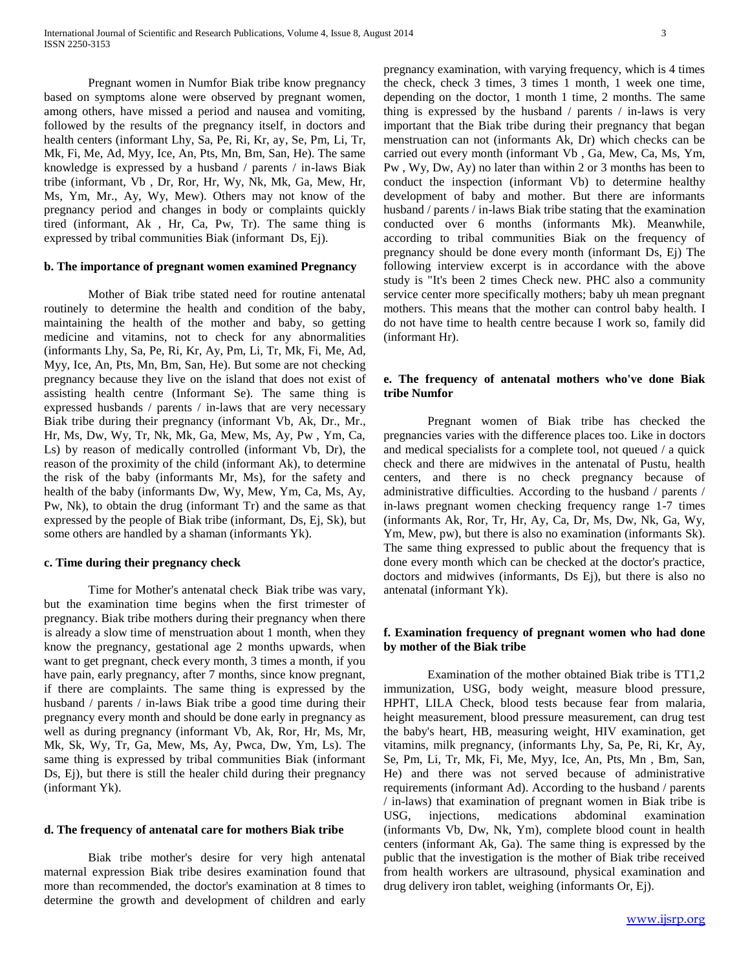Pregnant women in Numfor Biak tribe know pregnancy based on symptoms alone were observed by pregnant women, among others, have missed a period and nausea and vomiting, followed by the results of the pregnancy itself, in doctors and health centers (informant Lhy, Sa, Pe, Ri, Kr, ay, Se, Pm, Li, Tr, Mk, Fi, Me, Ad, Myy, Ice, An, Pts, Mn, Bm, San, He). The same knowledge is expressed by a husband / parents / in-laws Biak tribe (informant, Vb , Dr, Ror, Hr, Wy, Nk, Mk, Ga, Mew, Hr, Ms, Ym, Mr., Ay, Wy, Mew). Others may not know of the pregnancy period and changes in body or complaints quickly tired (informant, Ak , Hr, Ca, Pw, Tr). The same thing is expressed by tribal communities Biak (informant Ds, Ej).

#### **b. The importance of pregnant women examined Pregnancy**

Mother of Biak tribe stated need for routine antenatal routinely to determine the health and condition of the baby, maintaining the health of the mother and baby, so getting medicine and vitamins, not to check for any abnormalities (informants Lhy, Sa, Pe, Ri, Kr, Ay, Pm, Li, Tr, Mk, Fi, Me, Ad, Myy, Ice, An, Pts, Mn, Bm, San, He). But some are not checking pregnancy because they live on the island that does not exist of assisting health centre (Informant Se). The same thing is expressed husbands / parents / in-laws that are very necessary Biak tribe during their pregnancy (informant Vb, Ak, Dr., Mr., Hr, Ms, Dw, Wy, Tr, Nk, Mk, Ga, Mew, Ms, Ay, Pw , Ym, Ca, Ls) by reason of medically controlled (informant Vb, Dr), the reason of the proximity of the child (informant Ak), to determine the risk of the baby (informants Mr, Ms), for the safety and health of the baby (informants Dw, Wy, Mew, Ym, Ca, Ms, Ay, Pw, Nk), to obtain the drug (informant Tr) and the same as that expressed by the people of Biak tribe (informant, Ds, Ej, Sk), but some others are handled by a shaman (informants Yk).

## **c. Time during their pregnancy check**

Time for Mother's antenatal check Biak tribe was vary, but the examination time begins when the first trimester of pregnancy. Biak tribe mothers during their pregnancy when there is already a slow time of menstruation about 1 month, when they know the pregnancy, gestational age 2 months upwards, when want to get pregnant, check every month, 3 times a month, if you have pain, early pregnancy, after 7 months, since know pregnant, if there are complaints. The same thing is expressed by the husband / parents / in-laws Biak tribe a good time during their pregnancy every month and should be done early in pregnancy as well as during pregnancy (informant Vb, Ak, Ror, Hr, Ms, Mr, Mk, Sk, Wy, Tr, Ga, Mew, Ms, Ay, Pwca, Dw, Ym, Ls). The same thing is expressed by tribal communities Biak (informant Ds, Ej), but there is still the healer child during their pregnancy (informant Yk).

#### **d. The frequency of antenatal care for mothers Biak tribe**

Biak tribe mother's desire for very high antenatal maternal expression Biak tribe desires examination found that more than recommended, the doctor's examination at 8 times to determine the growth and development of children and early

pregnancy examination, with varying frequency, which is 4 times the check, check 3 times, 3 times 1 month, 1 week one time, depending on the doctor, 1 month 1 time, 2 months. The same thing is expressed by the husband / parents / in-laws is very important that the Biak tribe during their pregnancy that began menstruation can not (informants Ak, Dr) which checks can be carried out every month (informant Vb , Ga, Mew, Ca, Ms, Ym, Pw , Wy, Dw, Ay) no later than within 2 or 3 months has been to conduct the inspection (informant Vb) to determine healthy development of baby and mother. But there are informants husband / parents / in-laws Biak tribe stating that the examination conducted over 6 months (informants Mk). Meanwhile, according to tribal communities Biak on the frequency of pregnancy should be done every month (informant Ds, Ej) The following interview excerpt is in accordance with the above study is "It's been 2 times Check new. PHC also a community service center more specifically mothers; baby uh mean pregnant mothers. This means that the mother can control baby health. I do not have time to health centre because I work so, family did (informant Hr).

## **e. The frequency of antenatal mothers who've done Biak tribe Numfor**

Pregnant women of Biak tribe has checked the pregnancies varies with the difference places too. Like in doctors and medical specialists for a complete tool, not queued / a quick check and there are midwives in the antenatal of Pustu, health centers, and there is no check pregnancy because of administrative difficulties. According to the husband / parents / in-laws pregnant women checking frequency range 1-7 times (informants Ak, Ror, Tr, Hr, Ay, Ca, Dr, Ms, Dw, Nk, Ga, Wy, Ym, Mew, pw), but there is also no examination (informants Sk). The same thing expressed to public about the frequency that is done every month which can be checked at the doctor's practice, doctors and midwives (informants, Ds Ej), but there is also no antenatal (informant Yk).

## **f. Examination frequency of pregnant women who had done by mother of the Biak tribe**

Examination of the mother obtained Biak tribe is TT1,2 immunization, USG, body weight, measure blood pressure, HPHT, LILA Check, blood tests because fear from malaria, height measurement, blood pressure measurement, can drug test the baby's heart, HB, measuring weight, HIV examination, get vitamins, milk pregnancy, (informants Lhy, Sa, Pe, Ri, Kr, Ay, Se, Pm, Li, Tr, Mk, Fi, Me, Myy, Ice, An, Pts, Mn , Bm, San, He) and there was not served because of administrative requirements (informant Ad). According to the husband / parents / in-laws) that examination of pregnant women in Biak tribe is USG, injections, medications abdominal examination (informants Vb, Dw, Nk, Ym), complete blood count in health centers (informant Ak, Ga). The same thing is expressed by the public that the investigation is the mother of Biak tribe received from health workers are ultrasound, physical examination and drug delivery iron tablet, weighing (informants Or, Ej).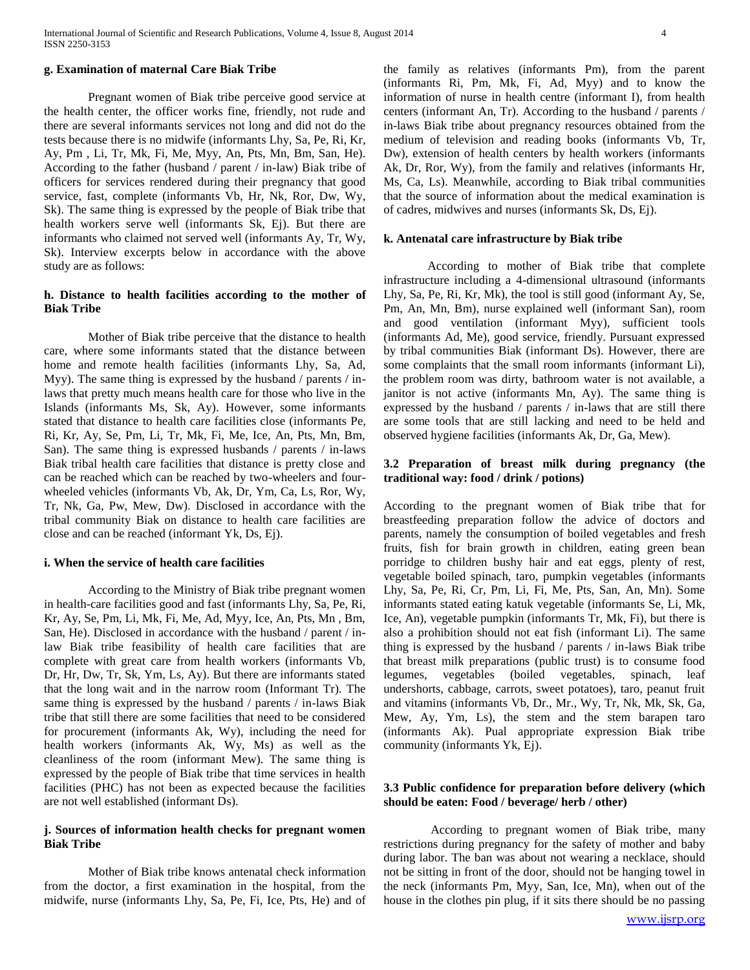#### **g. Examination of maternal Care Biak Tribe**

Pregnant women of Biak tribe perceive good service at the health center, the officer works fine, friendly, not rude and there are several informants services not long and did not do the tests because there is no midwife (informants Lhy, Sa, Pe, Ri, Kr, Ay, Pm , Li, Tr, Mk, Fi, Me, Myy, An, Pts, Mn, Bm, San, He). According to the father (husband / parent / in-law) Biak tribe of officers for services rendered during their pregnancy that good service, fast, complete (informants Vb, Hr, Nk, Ror, Dw, Wy, Sk). The same thing is expressed by the people of Biak tribe that health workers serve well (informants Sk, Ej). But there are informants who claimed not served well (informants Ay, Tr, Wy, Sk). Interview excerpts below in accordance with the above study are as follows:

## **h. Distance to health facilities according to the mother of Biak Tribe**

Mother of Biak tribe perceive that the distance to health care, where some informants stated that the distance between home and remote health facilities (informants Lhy, Sa, Ad, Myy). The same thing is expressed by the husband / parents / inlaws that pretty much means health care for those who live in the Islands (informants Ms, Sk, Ay). However, some informants stated that distance to health care facilities close (informants Pe, Ri, Kr, Ay, Se, Pm, Li, Tr, Mk, Fi, Me, Ice, An, Pts, Mn, Bm, San). The same thing is expressed husbands / parents / in-laws Biak tribal health care facilities that distance is pretty close and can be reached which can be reached by two-wheelers and fourwheeled vehicles (informants Vb, Ak, Dr, Ym, Ca, Ls, Ror, Wy, Tr, Nk, Ga, Pw, Mew, Dw). Disclosed in accordance with the tribal community Biak on distance to health care facilities are close and can be reached (informant Yk, Ds, Ej).

#### **i. When the service of health care facilities**

According to the Ministry of Biak tribe pregnant women in health-care facilities good and fast (informants Lhy, Sa, Pe, Ri, Kr, Ay, Se, Pm, Li, Mk, Fi, Me, Ad, Myy, Ice, An, Pts, Mn , Bm, San, He). Disclosed in accordance with the husband / parent / inlaw Biak tribe feasibility of health care facilities that are complete with great care from health workers (informants Vb, Dr, Hr, Dw, Tr, Sk, Ym, Ls, Ay). But there are informants stated that the long wait and in the narrow room (Informant Tr). The same thing is expressed by the husband / parents / in-laws Biak tribe that still there are some facilities that need to be considered for procurement (informants Ak, Wy), including the need for health workers (informants Ak, Wy, Ms) as well as the cleanliness of the room (informant Mew). The same thing is expressed by the people of Biak tribe that time services in health facilities (PHC) has not been as expected because the facilities are not well established (informant Ds).

#### **j. Sources of information health checks for pregnant women Biak Tribe**

Mother of Biak tribe knows antenatal check information from the doctor, a first examination in the hospital, from the midwife, nurse (informants Lhy, Sa, Pe, Fi, Ice, Pts, He) and of the family as relatives (informants Pm), from the parent (informants Ri, Pm, Mk, Fi, Ad, Myy) and to know the information of nurse in health centre (informant I), from health centers (informant An, Tr). According to the husband / parents / in-laws Biak tribe about pregnancy resources obtained from the medium of television and reading books (informants Vb, Tr, Dw), extension of health centers by health workers (informants Ak, Dr, Ror, Wy), from the family and relatives (informants Hr, Ms, Ca, Ls). Meanwhile, according to Biak tribal communities that the source of information about the medical examination is of cadres, midwives and nurses (informants Sk, Ds, Ej).

#### **k. Antenatal care infrastructure by Biak tribe**

According to mother of Biak tribe that complete infrastructure including a 4-dimensional ultrasound (informants Lhy, Sa, Pe, Ri, Kr, Mk), the tool is still good (informant Ay, Se, Pm, An, Mn, Bm), nurse explained well (informant San), room and good ventilation (informant Myy), sufficient tools (informants Ad, Me), good service, friendly. Pursuant expressed by tribal communities Biak (informant Ds). However, there are some complaints that the small room informants (informant Li), the problem room was dirty, bathroom water is not available, a janitor is not active (informants Mn, Ay). The same thing is expressed by the husband / parents / in-laws that are still there are some tools that are still lacking and need to be held and observed hygiene facilities (informants Ak, Dr, Ga, Mew).

## **3.2 Preparation of breast milk during pregnancy (the traditional way: food / drink / potions)**

According to the pregnant women of Biak tribe that for breastfeeding preparation follow the advice of doctors and parents, namely the consumption of boiled vegetables and fresh fruits, fish for brain growth in children, eating green bean porridge to children bushy hair and eat eggs, plenty of rest, vegetable boiled spinach, taro, pumpkin vegetables (informants Lhy, Sa, Pe, Ri, Cr, Pm, Li, Fi, Me, Pts, San, An, Mn). Some informants stated eating katuk vegetable (informants Se, Li, Mk, Ice, An), vegetable pumpkin (informants Tr, Mk, Fi), but there is also a prohibition should not eat fish (informant Li). The same thing is expressed by the husband / parents / in-laws Biak tribe that breast milk preparations (public trust) is to consume food legumes, vegetables (boiled vegetables, spinach, leaf undershorts, cabbage, carrots, sweet potatoes), taro, peanut fruit and vitamins (informants Vb, Dr., Mr., Wy, Tr, Nk, Mk, Sk, Ga, Mew, Ay, Ym, Ls), the stem and the stem barapen taro (informants Ak). Pual appropriate expression Biak tribe community (informants Yk, Ej).

## **3.3 Public confidence for preparation before delivery (which should be eaten: Food / beverage/ herb / other)**

According to pregnant women of Biak tribe, many restrictions during pregnancy for the safety of mother and baby during labor. The ban was about not wearing a necklace, should not be sitting in front of the door, should not be hanging towel in the neck (informants Pm, Myy, San, Ice, Mn), when out of the house in the clothes pin plug, if it sits there should be no passing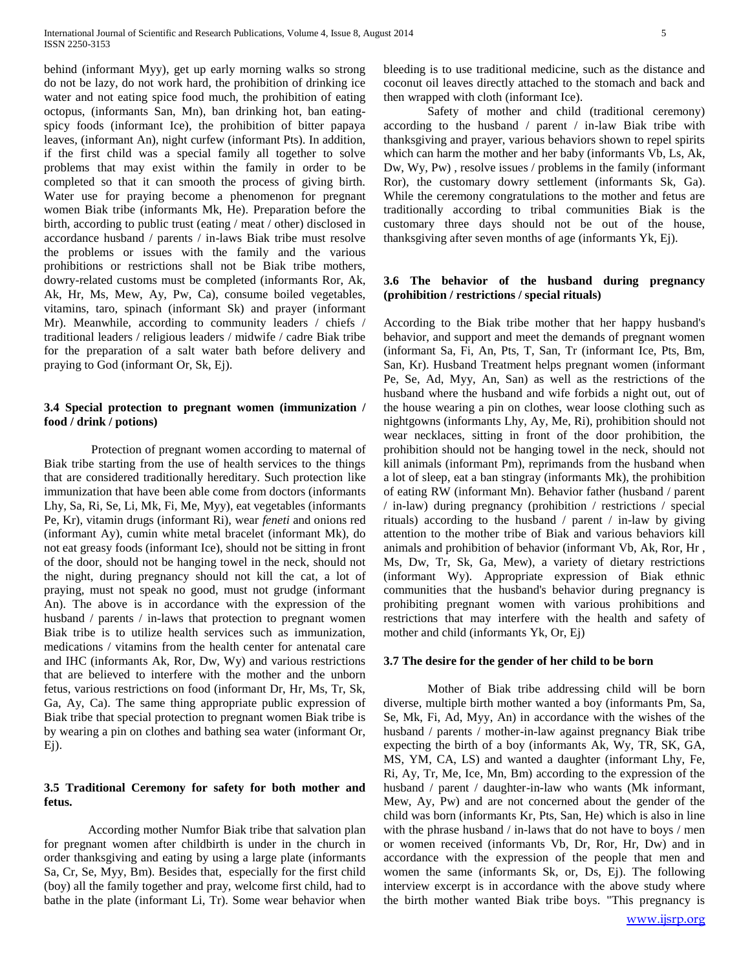behind (informant Myy), get up early morning walks so strong do not be lazy, do not work hard, the prohibition of drinking ice water and not eating spice food much, the prohibition of eating octopus, (informants San, Mn), ban drinking hot, ban eatingspicy foods (informant Ice), the prohibition of bitter papaya leaves, (informant An), night curfew (informant Pts). In addition, if the first child was a special family all together to solve problems that may exist within the family in order to be completed so that it can smooth the process of giving birth. Water use for praying become a phenomenon for pregnant women Biak tribe (informants Mk, He). Preparation before the birth, according to public trust (eating / meat / other) disclosed in accordance husband / parents / in-laws Biak tribe must resolve the problems or issues with the family and the various prohibitions or restrictions shall not be Biak tribe mothers, dowry-related customs must be completed (informants Ror, Ak, Ak, Hr, Ms, Mew, Ay, Pw, Ca), consume boiled vegetables, vitamins, taro, spinach (informant Sk) and prayer (informant Mr). Meanwhile, according to community leaders / chiefs / traditional leaders / religious leaders / midwife / cadre Biak tribe for the preparation of a salt water bath before delivery and praying to God (informant Or, Sk, Ej).

## **3.4 Special protection to pregnant women (immunization / food / drink / potions)**

Protection of pregnant women according to maternal of Biak tribe starting from the use of health services to the things that are considered traditionally hereditary. Such protection like immunization that have been able come from doctors (informants Lhy, Sa, Ri, Se, Li, Mk, Fi, Me, Myy), eat vegetables (informants Pe, Kr), vitamin drugs (informant Ri), wear *feneti* and onions red (informant Ay), cumin white metal bracelet (informant Mk), do not eat greasy foods (informant Ice), should not be sitting in front of the door, should not be hanging towel in the neck, should not the night, during pregnancy should not kill the cat, a lot of praying, must not speak no good, must not grudge (informant An). The above is in accordance with the expression of the husband / parents / in-laws that protection to pregnant women Biak tribe is to utilize health services such as immunization, medications / vitamins from the health center for antenatal care and IHC (informants Ak, Ror, Dw, Wy) and various restrictions that are believed to interfere with the mother and the unborn fetus, various restrictions on food (informant Dr, Hr, Ms, Tr, Sk, Ga, Ay, Ca). The same thing appropriate public expression of Biak tribe that special protection to pregnant women Biak tribe is by wearing a pin on clothes and bathing sea water (informant Or, Ej).

## **3.5 Traditional Ceremony for safety for both mother and fetus.**

According mother Numfor Biak tribe that salvation plan for pregnant women after childbirth is under in the church in order thanksgiving and eating by using a large plate (informants Sa, Cr, Se, Myy, Bm). Besides that, especially for the first child (boy) all the family together and pray, welcome first child, had to bathe in the plate (informant Li, Tr). Some wear behavior when

bleeding is to use traditional medicine, such as the distance and coconut oil leaves directly attached to the stomach and back and then wrapped with cloth (informant Ice).

Safety of mother and child (traditional ceremony) according to the husband / parent / in-law Biak tribe with thanksgiving and prayer, various behaviors shown to repel spirits which can harm the mother and her baby (informants Vb, Ls, Ak, Dw, Wy, Pw) , resolve issues / problems in the family (informant Ror), the customary dowry settlement (informants Sk, Ga). While the ceremony congratulations to the mother and fetus are traditionally according to tribal communities Biak is the customary three days should not be out of the house, thanksgiving after seven months of age (informants Yk, Ej).

## **3.6 The behavior of the husband during pregnancy (prohibition / restrictions / special rituals)**

According to the Biak tribe mother that her happy husband's behavior, and support and meet the demands of pregnant women (informant Sa, Fi, An, Pts, T, San, Tr (informant Ice, Pts, Bm, San, Kr). Husband Treatment helps pregnant women (informant Pe, Se, Ad, Myy, An, San) as well as the restrictions of the husband where the husband and wife forbids a night out, out of the house wearing a pin on clothes, wear loose clothing such as nightgowns (informants Lhy, Ay, Me, Ri), prohibition should not wear necklaces, sitting in front of the door prohibition, the prohibition should not be hanging towel in the neck, should not kill animals (informant Pm), reprimands from the husband when a lot of sleep, eat a ban stingray (informants Mk), the prohibition of eating RW (informant Mn). Behavior father (husband / parent / in-law) during pregnancy (prohibition / restrictions / special rituals) according to the husband / parent / in-law by giving attention to the mother tribe of Biak and various behaviors kill animals and prohibition of behavior (informant Vb, Ak, Ror, Hr , Ms, Dw, Tr, Sk, Ga, Mew), a variety of dietary restrictions (informant Wy). Appropriate expression of Biak ethnic communities that the husband's behavior during pregnancy is prohibiting pregnant women with various prohibitions and restrictions that may interfere with the health and safety of mother and child (informants Yk, Or, Ej)

#### **3.7 The desire for the gender of her child to be born**

Mother of Biak tribe addressing child will be born diverse, multiple birth mother wanted a boy (informants Pm, Sa, Se, Mk, Fi, Ad, Myy, An) in accordance with the wishes of the husband / parents / mother-in-law against pregnancy Biak tribe expecting the birth of a boy (informants Ak, Wy, TR, SK, GA, MS, YM, CA, LS) and wanted a daughter (informant Lhy, Fe, Ri, Ay, Tr, Me, Ice, Mn, Bm) according to the expression of the husband / parent / daughter-in-law who wants (Mk informant, Mew, Ay, Pw) and are not concerned about the gender of the child was born (informants Kr, Pts, San, He) which is also in line with the phrase husband / in-laws that do not have to boys / men or women received (informants Vb, Dr, Ror, Hr, Dw) and in accordance with the expression of the people that men and women the same (informants Sk, or, Ds, Ej). The following interview excerpt is in accordance with the above study where the birth mother wanted Biak tribe boys. "This pregnancy is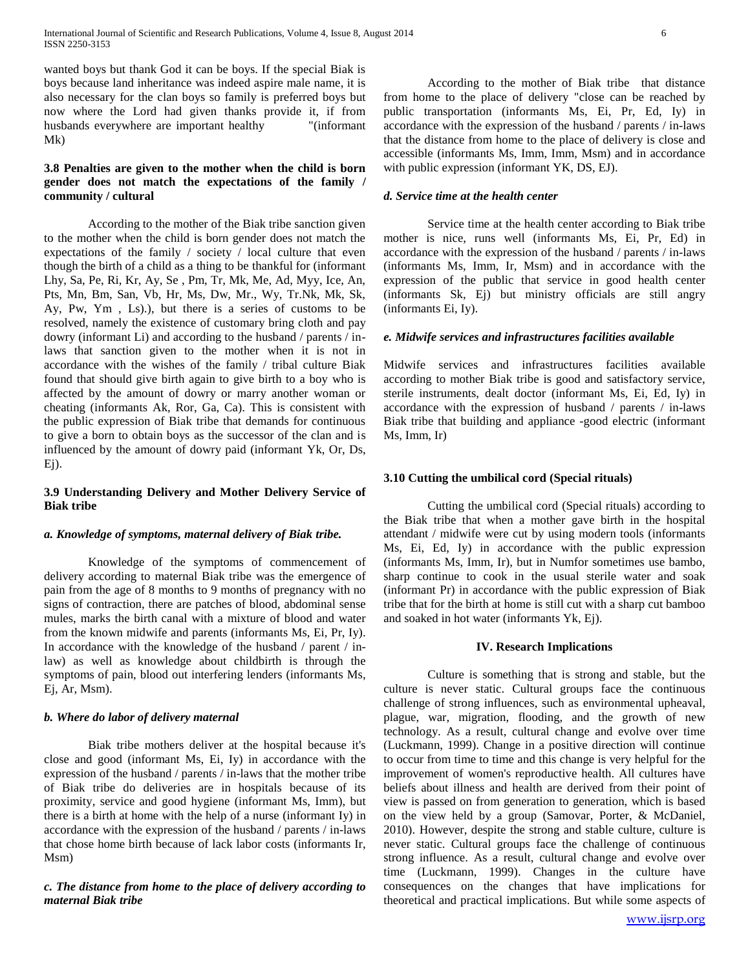wanted boys but thank God it can be boys. If the special Biak is boys because land inheritance was indeed aspire male name, it is also necessary for the clan boys so family is preferred boys but now where the Lord had given thanks provide it, if from husbands everywhere are important healthy "(informant Mk)

## **3.8 Penalties are given to the mother when the child is born gender does not match the expectations of the family / community / cultural**

According to the mother of the Biak tribe sanction given to the mother when the child is born gender does not match the expectations of the family / society / local culture that even though the birth of a child as a thing to be thankful for (informant Lhy, Sa, Pe, Ri, Kr, Ay, Se , Pm, Tr, Mk, Me, Ad, Myy, Ice, An, Pts, Mn, Bm, San, Vb, Hr, Ms, Dw, Mr., Wy, Tr.Nk, Mk, Sk, Ay, Pw, Ym , Ls).), but there is a series of customs to be resolved, namely the existence of customary bring cloth and pay dowry (informant Li) and according to the husband / parents / inlaws that sanction given to the mother when it is not in accordance with the wishes of the family / tribal culture Biak found that should give birth again to give birth to a boy who is affected by the amount of dowry or marry another woman or cheating (informants Ak, Ror, Ga, Ca). This is consistent with the public expression of Biak tribe that demands for continuous to give a born to obtain boys as the successor of the clan and is influenced by the amount of dowry paid (informant Yk, Or, Ds, Ej).

## **3.9 Understanding Delivery and Mother Delivery Service of Biak tribe**

## *a. Knowledge of symptoms, maternal delivery of Biak tribe.*

Knowledge of the symptoms of commencement of delivery according to maternal Biak tribe was the emergence of pain from the age of 8 months to 9 months of pregnancy with no signs of contraction, there are patches of blood, abdominal sense mules, marks the birth canal with a mixture of blood and water from the known midwife and parents (informants Ms, Ei, Pr, Iy). In accordance with the knowledge of the husband / parent / inlaw) as well as knowledge about childbirth is through the symptoms of pain, blood out interfering lenders (informants Ms, Ej, Ar, Msm).

#### *b. Where do labor of delivery maternal*

Biak tribe mothers deliver at the hospital because it's close and good (informant Ms, Ei, Iy) in accordance with the expression of the husband / parents / in-laws that the mother tribe of Biak tribe do deliveries are in hospitals because of its proximity, service and good hygiene (informant Ms, Imm), but there is a birth at home with the help of a nurse (informant Iy) in accordance with the expression of the husband / parents / in-laws that chose home birth because of lack labor costs (informants Ir, Msm)

## *c. The distance from home to the place of delivery according to maternal Biak tribe*

According to the mother of Biak tribe that distance from home to the place of delivery "close can be reached by public transportation (informants Ms, Ei, Pr, Ed, Iy) in accordance with the expression of the husband / parents / in-laws that the distance from home to the place of delivery is close and accessible (informants Ms, Imm, Imm, Msm) and in accordance with public expression (informant YK, DS, EJ).

## *d. Service time at the health center*

Service time at the health center according to Biak tribe mother is nice, runs well (informants Ms, Ei, Pr, Ed) in accordance with the expression of the husband / parents / in-laws (informants Ms, Imm, Ir, Msm) and in accordance with the expression of the public that service in good health center (informants Sk, Ej) but ministry officials are still angry (informants Ei, Iy).

## *e. Midwife services and infrastructures facilities available*

Midwife services and infrastructures facilities available according to mother Biak tribe is good and satisfactory service, sterile instruments, dealt doctor (informant Ms, Ei, Ed, Iy) in accordance with the expression of husband / parents / in-laws Biak tribe that building and appliance -good electric (informant Ms, Imm, Ir)

#### **3.10 Cutting the umbilical cord (Special rituals)**

Cutting the umbilical cord (Special rituals) according to the Biak tribe that when a mother gave birth in the hospital attendant / midwife were cut by using modern tools (informants Ms, Ei, Ed, Iy) in accordance with the public expression (informants Ms, Imm, Ir), but in Numfor sometimes use bambo, sharp continue to cook in the usual sterile water and soak (informant Pr) in accordance with the public expression of Biak tribe that for the birth at home is still cut with a sharp cut bamboo and soaked in hot water (informants Yk, Ej).

## **IV. Research Implications**

Culture is something that is strong and stable, but the culture is never static. Cultural groups face the continuous challenge of strong influences, such as environmental upheaval, plague, war, migration, flooding, and the growth of new technology. As a result, cultural change and evolve over time (Luckmann, 1999). Change in a positive direction will continue to occur from time to time and this change is very helpful for the improvement of women's reproductive health. All cultures have beliefs about illness and health are derived from their point of view is passed on from generation to generation, which is based on the view held by a group (Samovar, Porter, & McDaniel, 2010). However, despite the strong and stable culture, culture is never static. Cultural groups face the challenge of continuous strong influence. As a result, cultural change and evolve over time (Luckmann, 1999). Changes in the culture have consequences on the changes that have implications for theoretical and practical implications. But while some aspects of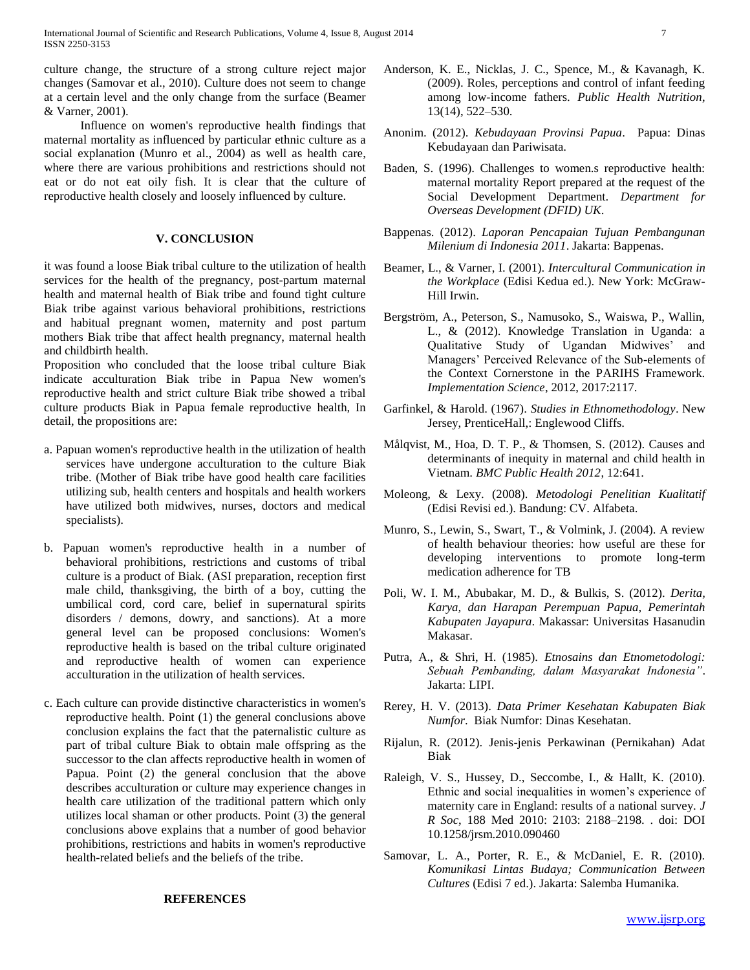culture change, the structure of a strong culture reject major changes (Samovar et al., 2010). Culture does not seem to change at a certain level and the only change from the surface (Beamer & Varner, 2001).

 Influence on women's reproductive health findings that maternal mortality as influenced by particular ethnic culture as a social explanation (Munro et al., 2004) as well as health care, where there are various prohibitions and restrictions should not eat or do not eat oily fish. It is clear that the culture of reproductive health closely and loosely influenced by culture.

## **V. CONCLUSION**

it was found a loose Biak tribal culture to the utilization of health services for the health of the pregnancy, post-partum maternal health and maternal health of Biak tribe and found tight culture Biak tribe against various behavioral prohibitions, restrictions and habitual pregnant women, maternity and post partum mothers Biak tribe that affect health pregnancy, maternal health and childbirth health.

Proposition who concluded that the loose tribal culture Biak indicate acculturation Biak tribe in Papua New women's reproductive health and strict culture Biak tribe showed a tribal culture products Biak in Papua female reproductive health, In detail, the propositions are:

- a. Papuan women's reproductive health in the utilization of health services have undergone acculturation to the culture Biak tribe. (Mother of Biak tribe have good health care facilities utilizing sub, health centers and hospitals and health workers have utilized both midwives, nurses, doctors and medical specialists).
- b. Papuan women's reproductive health in a number of behavioral prohibitions, restrictions and customs of tribal culture is a product of Biak. (ASI preparation, reception first male child, thanksgiving, the birth of a boy, cutting the umbilical cord, cord care, belief in supernatural spirits disorders / demons, dowry, and sanctions). At a more general level can be proposed conclusions: Women's reproductive health is based on the tribal culture originated and reproductive health of women can experience acculturation in the utilization of health services.
- c. Each culture can provide distinctive characteristics in women's reproductive health. Point (1) the general conclusions above conclusion explains the fact that the paternalistic culture as part of tribal culture Biak to obtain male offspring as the successor to the clan affects reproductive health in women of Papua. Point (2) the general conclusion that the above describes acculturation or culture may experience changes in health care utilization of the traditional pattern which only utilizes local shaman or other products. Point (3) the general conclusions above explains that a number of good behavior prohibitions, restrictions and habits in women's reproductive health-related beliefs and the beliefs of the tribe.

#### **REFERENCES**

- Anonim. (2012). *Kebudayaan Provinsi Papua*. Papua: Dinas Kebudayaan dan Pariwisata.
- Baden, S. (1996). Challenges to women.s reproductive health: maternal mortality Report prepared at the request of the Social Development Department. *Department for Overseas Development (DFID) UK*.
- Bappenas. (2012). *Laporan Pencapaian Tujuan Pembangunan Milenium di Indonesia 2011*. Jakarta: Bappenas.
- Beamer, L., & Varner, I. (2001). *Intercultural Communication in the Workplace* (Edisi Kedua ed.). New York: McGraw-Hill Irwin.
- Bergström, A., Peterson, S., Namusoko, S., Waiswa, P., Wallin, L., & (2012). Knowledge Translation in Uganda: a Qualitative Study of Ugandan Midwives' and Managers' Perceived Relevance of the Sub-elements of the Context Cornerstone in the PARIHS Framework. *Implementation Science*, 2012, 2017:2117.
- Garfinkel, & Harold. (1967). *Studies in Ethnomethodology*. New Jersey, PrenticeHall,: Englewood Cliffs.
- Målqvist, M., Hoa, D. T. P., & Thomsen, S. (2012). Causes and determinants of inequity in maternal and child health in Vietnam. *BMC Public Health 2012*, 12:641.
- Moleong, & Lexy. (2008). *Metodologi Penelitian Kualitatif*  (Edisi Revisi ed.). Bandung: CV. Alfabeta.
- Munro, S., Lewin, S., Swart, T., & Volmink, J. (2004). A review of health behaviour theories: how useful are these for developing interventions to promote long-term medication adherence for TB
- Poli, W. I. M., Abubakar, M. D., & Bulkis, S. (2012). *Derita, Karya, dan Harapan Perempuan Papua, Pemerintah Kabupaten Jayapura*. Makassar: Universitas Hasanudin Makasar.
- Putra, A., & Shri, H. (1985). *Etnosains dan Etnometodologi: Sebuah Pembanding, dalam Masyarakat Indonesia"*. Jakarta: LIPI.
- Rerey, H. V. (2013). *Data Primer Kesehatan Kabupaten Biak Numfor*. Biak Numfor: Dinas Kesehatan.
- Rijalun, R. (2012). Jenis-jenis Perkawinan (Pernikahan) Adat Biak
- Raleigh, V. S., Hussey, D., Seccombe, I., & Hallt, K. (2010). Ethnic and social inequalities in women's experience of maternity care in England: results of a national survey. *J R Soc*, 188 Med 2010: 2103: 2188–2198. . doi: DOI 10.1258/jrsm.2010.090460
- Samovar, L. A., Porter, R. E., & McDaniel, E. R. (2010). *Komunikasi Lintas Budaya; Communication Between Cultures* (Edisi 7 ed.). Jakarta: Salemba Humanika.